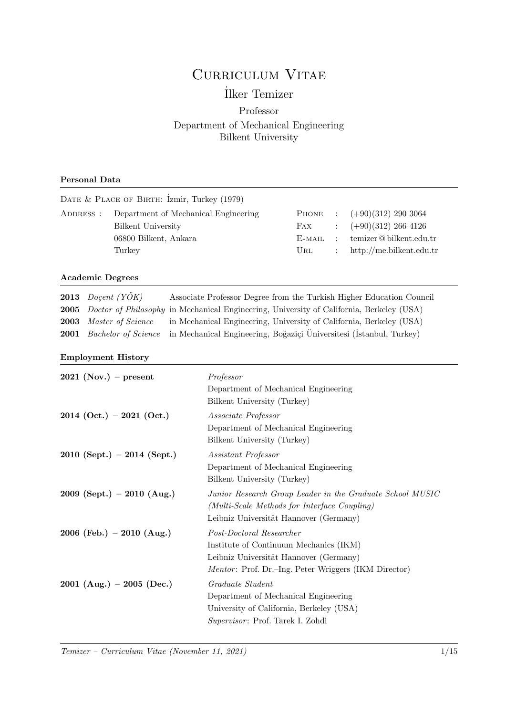# CURRICULUM VITAE

## ˙Ilker Temizer

### Professor Department of Mechanical Engineering Bilkent University

#### Personal Data

|                      |                                                                                                                                                                                                                                                                                           |                                                              | DATE & PLACE OF BIRTH: Izmir, Turkey (1979)                          |                                                                                                                                                                      |                                                                      |                                                                                                      |  |
|----------------------|-------------------------------------------------------------------------------------------------------------------------------------------------------------------------------------------------------------------------------------------------------------------------------------------|--------------------------------------------------------------|----------------------------------------------------------------------|----------------------------------------------------------------------------------------------------------------------------------------------------------------------|----------------------------------------------------------------------|------------------------------------------------------------------------------------------------------|--|
| ADDRESS :            |                                                                                                                                                                                                                                                                                           | <b>Bilkent University</b><br>06800 Bilkent, Ankara<br>Turkey | Department of Mechanical Engineering                                 | PHONE<br>FAX<br>$E$ -MAIL<br>URL                                                                                                                                     | $\ddot{\cdot}$<br>$\ddot{\cdot}$<br>$\ddot{\cdot}$<br>$\ddot{\cdot}$ | $(+90)(312)$ 290 3064<br>$(+90)(312)$ 266 4126<br>temizer@bilkent.edu.tr<br>http://me.bilkent.edu.tr |  |
| 2013                 | <b>Academic Degrees</b>                                                                                                                                                                                                                                                                   | Doçent $(Y\ddot{O}K)$                                        | Associate Professor Degree from the Turkish Higher Education Council |                                                                                                                                                                      |                                                                      |                                                                                                      |  |
| 2005<br>2003<br>2001 | Doctor of Philosophy in Mechanical Engineering, University of California, Berkeley (USA)<br>Master of Science<br>in Mechanical Engineering, University of California, Berkeley (USA)<br><b>Bachelor</b> of Science<br>in Mechanical Engineering, Boğaziçi Üniversitesi (İstanbul, Turkey) |                                                              |                                                                      |                                                                                                                                                                      |                                                                      |                                                                                                      |  |
|                      |                                                                                                                                                                                                                                                                                           | <b>Employment History</b>                                    |                                                                      |                                                                                                                                                                      |                                                                      |                                                                                                      |  |
|                      |                                                                                                                                                                                                                                                                                           | $2021$ (Nov.) – present                                      | Professor                                                            | Department of Mechanical Engineering<br>Bilkent University (Turkey)                                                                                                  |                                                                      |                                                                                                      |  |
|                      |                                                                                                                                                                                                                                                                                           | $2014$ (Oct.) - 2021 (Oct.)                                  | Associate Professor                                                  | Department of Mechanical Engineering<br>Bilkent University (Turkey)                                                                                                  |                                                                      |                                                                                                      |  |
|                      |                                                                                                                                                                                                                                                                                           | $2010$ (Sept.) - 2014 (Sept.)                                | Assistant Professor                                                  | Department of Mechanical Engineering<br>Bilkent University (Turkey)                                                                                                  |                                                                      |                                                                                                      |  |
|                      |                                                                                                                                                                                                                                                                                           | 2009 (Sept.) $-$ 2010 (Aug.)                                 |                                                                      | Junior Research Group Leader in the Graduate School MUSIC<br>(Multi-Scale Methods for Interface Coupling)<br>Leibniz Universität Hannover (Germany)                  |                                                                      |                                                                                                      |  |
|                      |                                                                                                                                                                                                                                                                                           | 2006 (Feb.) – 2010 (Aug.)                                    |                                                                      | Post-Doctoral Researcher<br>Institute of Continuum Mechanics (IKM)<br>Leibniz Universität Hannover (Germany)<br>Mentor: Prof. Dr.-Ing. Peter Wriggers (IKM Director) |                                                                      |                                                                                                      |  |
|                      |                                                                                                                                                                                                                                                                                           | 2001 (Aug.) – 2005 (Dec.)                                    | Graduate Student                                                     | Department of Mechanical Engineering<br>University of California, Berkeley (USA)<br>Supervisor: Prof. Tarek I. Zohdi                                                 |                                                                      |                                                                                                      |  |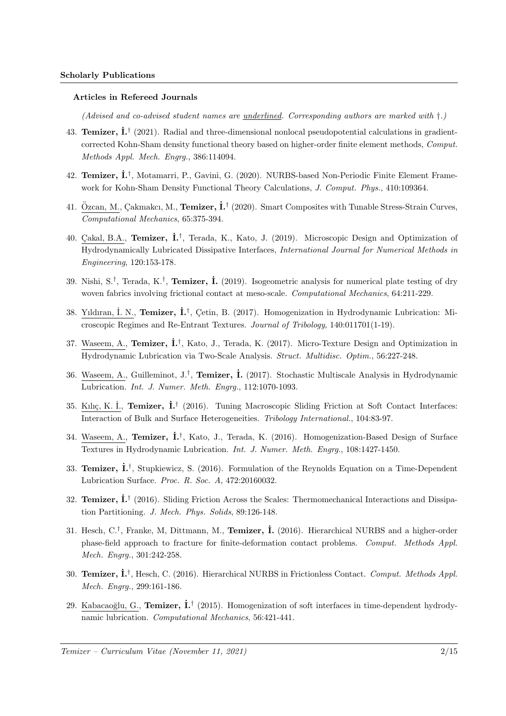#### Articles in Refereed Journals

(Advised and co-advised student names are <u>underlined</u>. Corresponding authors are marked with  $\dagger$ .)

- 43. Temizer,  $\dot{\mathbf{L}}^{\dagger}$  (2021). Radial and three-dimensional nonlocal pseudopotential calculations in gradientcorrected Kohn-Sham density functional theory based on higher-order finite element methods, Comput. Methods Appl. Mech. Engrg., 386:114094.
- 42. Temizer, İ.<sup>†</sup>, Motamarri, P., Gavini, G. (2020). NURBS-based Non-Periodic Finite Element Framework for Kohn-Sham Density Functional Theory Calculations, J. Comput. Phys., 410:109364.
- 41. Özcan, M., Çakmakcı, M., Temizer, İ.<sup>†</sup> (2020). Smart Composites with Tunable Stress-Strain Curves, Computational Mechanics, 65:375-394.
- 40. Çakal, B.A., Temizer, İ.<sup>†</sup>, Terada, K., Kato, J. (2019). Microscopic Design and Optimization of Hydrodynamically Lubricated Dissipative Interfaces, International Journal for Numerical Methods in Engineering, 120:153-178.
- 39. Nishi, S.<sup>†</sup>, Terada, K.<sup>†</sup>, **Temizer, İ.** (2019). Isogeometric analysis for numerical plate testing of dry woven fabrics involving frictional contact at meso-scale. Computational Mechanics, 64:211-229.
- 38. Yıldıran, İ. N., Temizer, İ.<sup>†</sup>, Çetin, B. (2017). Homogenization in Hydrodynamic Lubrication: Microscopic Regimes and Re-Entrant Textures. Journal of Tribology, 140:011701(1-19).
- 37. Waseem, A., Temizer,  $\dot{\mathbf{L}}^{\dagger}$ , Kato, J., Terada, K. (2017). Micro-Texture Design and Optimization in Hydrodynamic Lubrication via Two-Scale Analysis. Struct. Multidisc. Optim., 56:227-248.
- 36. Waseem, A., Guilleminot, J.<sup>†</sup>, **Temizer, İ.** (2017). Stochastic Multiscale Analysis in Hydrodynamic Lubrication. Int. J. Numer. Meth. Engrg., 112:1070-1093.
- 35. Kılıç, K. İ., Temizer, İ.<sup>†</sup> (2016). Tuning Macroscopic Sliding Friction at Soft Contact Interfaces: Interaction of Bulk and Surface Heterogeneities. Tribology International., 104:83-97.
- 34. Waseem, A., Temizer,  $\dot{\mathbf{L}}^{\dagger}$ , Kato, J., Terada, K. (2016). Homogenization-Based Design of Surface Textures in Hydrodynamic Lubrication. Int. J. Numer. Meth. Engrg., 108:1427-1450.
- 33. Temizer, I.<sup>†</sup>, Stupkiewicz, S. (2016). Formulation of the Reynolds Equation on a Time-Dependent Lubrication Surface. Proc. R. Soc. A, 472:20160032.
- 32. Temizer,  $\dot{\mathbf{L}}^{\dagger}$  (2016). Sliding Friction Across the Scales: Thermomechanical Interactions and Dissipation Partitioning. J. Mech. Phys. Solids, 89:126-148.
- 31. Hesch, C.<sup>†</sup>, Franke, M, Dittmann, M., **Temizer, İ.** (2016). Hierarchical NURBS and a higher-order phase-field approach to fracture for finite-deformation contact problems. Comput. Methods Appl. Mech. Engrg., 301:242-258.
- 30. Temizer,  $\dot{\mathbf{L}}^{\dagger}$ , Hesch, C. (2016). Hierarchical NURBS in Frictionless Contact. Comput. Methods Appl. Mech. Engrg., 299:161-186.
- 29. Kabacaoğlu, G., Temizer,  $\dot{\mathbf{I}}$ .<sup>†</sup> (2015). Homogenization of soft interfaces in time-dependent hydrodynamic lubrication. Computational Mechanics, 56:421-441.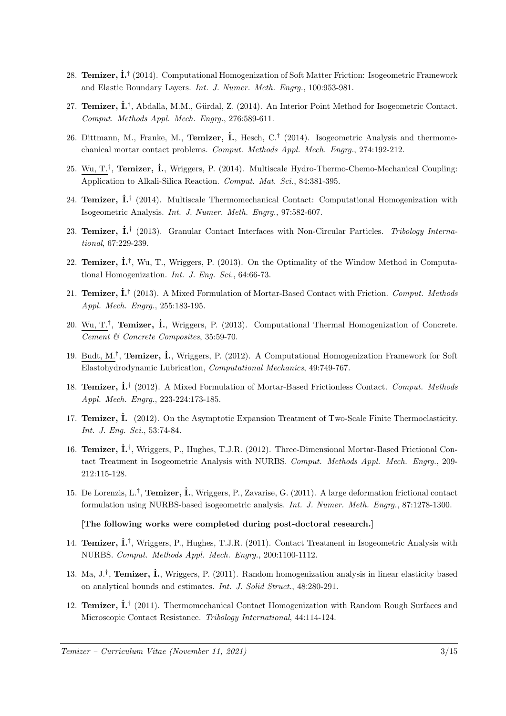- 28. Temizer,  $\dot{\mathbf{L}}^{\dagger}$  (2014). Computational Homogenization of Soft Matter Friction: Isogeometric Framework and Elastic Boundary Layers. Int. J. Numer. Meth. Engrg., 100:953-981.
- 27. Temizer, İ.<sup>†</sup>, Abdalla, M.M., Gürdal, Z. (2014). An Interior Point Method for Isogeometric Contact. Comput. Methods Appl. Mech. Engrg., 276:589-611.
- 26. Dittmann, M., Franke, M., Temizer, İ., Hesch, C.<sup>†</sup> (2014). Isogeometric Analysis and thermomechanical mortar contact problems. Comput. Methods Appl. Mech. Engrg., 274:192-212.
- 25. Wu, T.<sup>†</sup>, Temizer, İ., Wriggers, P. (2014). Multiscale Hydro-Thermo-Chemo-Mechanical Coupling: Application to Alkali-Silica Reaction. Comput. Mat. Sci., 84:381-395.
- 24. Temizer,  $\dot{\mathbf{I}}$ . (2014). Multiscale Thermomechanical Contact: Computational Homogenization with Isogeometric Analysis. Int. J. Numer. Meth. Engrg., 97:582-607.
- 23. Temizer,  $\dot{\mathbf{I}}$ .<sup>†</sup> (2013). Granular Contact Interfaces with Non-Circular Particles. Tribology International, 67:229-239.
- 22. Temizer,  $\dot{\mathbf{L}}^{\dagger}$ , Wu, T., Wriggers, P. (2013). On the Optimality of the Window Method in Computational Homogenization. Int. J. Eng. Sci., 64:66-73.
- 21. Temizer,  $\dot{\mathbf{L}}^{\dagger}$  (2013). A Mixed Formulation of Mortar-Based Contact with Friction. Comput. Methods Appl. Mech. Engrg., 255:183-195.
- 20. Wu, T.<sup>†</sup>, **Temizer, İ.**, Wriggers, P. (2013). Computational Thermal Homogenization of Concrete. Cement & Concrete Composites, 35:59-70.
- 19. Budt, M.<sup>†</sup>, **Temizer, İ.**, Wriggers, P. (2012). A Computational Homogenization Framework for Soft Elastohydrodynamic Lubrication, Computational Mechanics, 49:749-767.
- 18. Temizer, İ.<sup>†</sup> (2012). A Mixed Formulation of Mortar-Based Frictionless Contact. Comput. Methods Appl. Mech. Engrg., 223-224:173-185.
- 17. Temizer,  $\dot{\mathbf{L}}^{\dagger}$  (2012). On the Asymptotic Expansion Treatment of Two-Scale Finite Thermoelasticity. Int. J. Eng. Sci., 53:74-84.
- 16. Temizer,  $\dot{\mathbf{L}}^{\dagger}$ , Wriggers, P., Hughes, T.J.R. (2012). Three-Dimensional Mortar-Based Frictional Contact Treatment in Isogeometric Analysis with NURBS. Comput. Methods Appl. Mech. Engrg., 209-212:115-128.
- 15. De Lorenzis, L.<sup>†</sup>, **Temizer, İ.**, Wriggers, P., Zavarise, G. (2011). A large deformation frictional contact formulation using NURBS-based isogeometric analysis. Int. J. Numer. Meth. Engrg., 87:1278-1300.

#### [The following works were completed during post-doctoral research.]

- 14. Temizer,  $\dot{\mathbf{L}}^{\dagger}$ , Wriggers, P., Hughes, T.J.R. (2011). Contact Treatment in Isogeometric Analysis with NURBS. Comput. Methods Appl. Mech. Engrg., 200:1100-1112.
- 13. Ma,  $J.\dot{J}$ , **Temizer, İ.**, Wriggers, P. (2011). Random homogenization analysis in linear elasticity based on analytical bounds and estimates. Int. J. Solid Struct., 48:280-291.
- 12. Temizer,  $\dot{\mathbf{L}}^{\dagger}$  (2011). Thermomechanical Contact Homogenization with Random Rough Surfaces and Microscopic Contact Resistance. Tribology International, 44:114-124.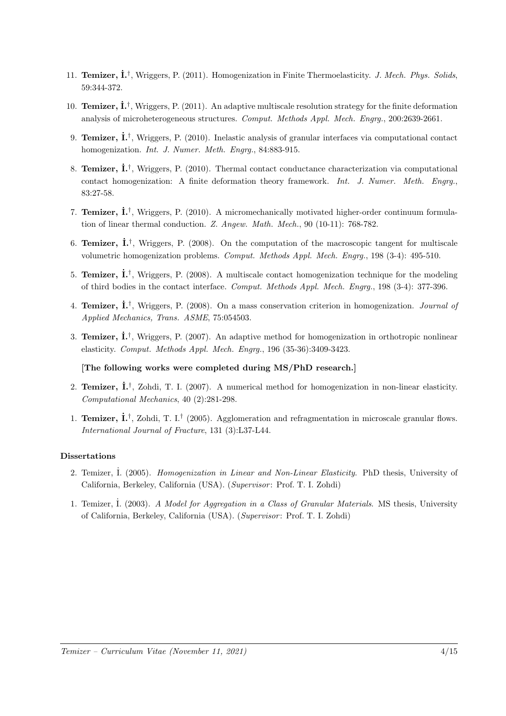- 11. Temizer,  $\dot{\mathbf{L}}^{\dagger}$ , Wriggers, P. (2011). Homogenization in Finite Thermoelasticity. *J. Mech. Phys. Solids*, 59:344-372.
- 10. **Temizer,**  $\mathbf{i}$ **.**<sup>†</sup>, Wriggers, P. (2011). An adaptive multiscale resolution strategy for the finite deformation analysis of microheterogeneous structures. Comput. Methods Appl. Mech. Engrg., 200:2639-2661.
- 9. Temizer,  $\dot{\mathbf{L}}^{\dagger}$ , Wriggers, P. (2010). Inelastic analysis of granular interfaces via computational contact homogenization. *Int. J. Numer. Meth. Engrg.*, 84:883-915.
- 8. Temizer,  $\dot{\mathbf{I}}$ .<sup>†</sup>, Wriggers, P. (2010). Thermal contact conductance characterization via computational contact homogenization: A finite deformation theory framework. Int. J. Numer. Meth. Engry., 83:27-58.
- 7. Temizer,  $\dot{\mathbf{I}}$ .<sup>†</sup>, Wriggers, P. (2010). A micromechanically motivated higher-order continuum formulation of linear thermal conduction. Z. Angew. Math. Mech., 90 (10-11): 768-782.
- 6. Temizer,  $\dot{\mathbf{I}}$ .<sup>†</sup>, Wriggers, P. (2008). On the computation of the macroscopic tangent for multiscale volumetric homogenization problems. Comput. Methods Appl. Mech. Engrg., 198 (3-4): 495-510.
- 5. Temizer,  $\dot{\mathbf{I}}$ .<sup>†</sup>, Wriggers, P. (2008). A multiscale contact homogenization technique for the modeling of third bodies in the contact interface. Comput. Methods Appl. Mech. Engrg., 198 (3-4): 377-396.
- 4. Temizer,  $\dot{\mathbf{I}}$ .<sup>†</sup>, Wriggers, P. (2008). On a mass conservation criterion in homogenization. *Journal of* Applied Mechanics, Trans. ASME, 75:054503.
- 3. Temizer,  $\dot{\mathbf{L}}^{\dagger}$ , Wriggers, P. (2007). An adaptive method for homogenization in orthotropic nonlinear elasticity. Comput. Methods Appl. Mech. Engrg., 196 (35-36):3409-3423.

#### [The following works were completed during MS/PhD research.]

- 2. Temizer,  $\dot{\mathbf{I}}$ .<sup>†</sup>, Zohdi, T. I. (2007). A numerical method for homogenization in non-linear elasticity. Computational Mechanics, 40 (2):281-298.
- 1. Temizer,  $\dot{\mathbf{L}}^{\dagger}$ , Zohdi, T. I.<sup>†</sup> (2005). Agglomeration and refragmentation in microscale granular flows. International Journal of Fracture, 131 (3):L37-L44.

#### Dissertations

- 2. Temizer, I. (2005). Homogenization in Linear and Non-Linear Elasticity. PhD thesis, University of California, Berkeley, California (USA). (Supervisor: Prof. T. I. Zohdi)
- 1. Temizer, İ. (2003). A Model for Aggregation in a Class of Granular Materials. MS thesis, University of California, Berkeley, California (USA). (Supervisor: Prof. T. I. Zohdi)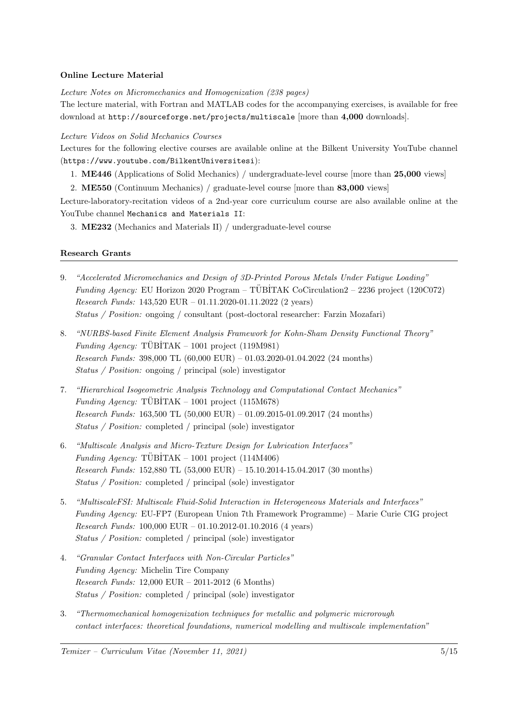#### Online Lecture Material

Lecture Notes on Micromechanics and Homogenization (238 pages)

The lecture material, with Fortran and MATLAB codes for the accompanying exercises, is available for free download at http://sourceforge.net/projects/multiscale [more than 4,000 downloads].

Lecture Videos on Solid Mechanics Courses

Lectures for the following elective courses are available online at the Bilkent University YouTube channel (https://www.youtube.com/BilkentUniversitesi):

1. ME446 (Applications of Solid Mechanics) / undergraduate-level course [more than 25,000 views]

2. ME550 (Continuum Mechanics) / graduate-level course [more than 83,000 views]

Lecture-laboratory-recitation videos of a 2nd-year core curriculum course are also available online at the YouTube channel Mechanics and Materials II:

3. ME232 (Mechanics and Materials II) / undergraduate-level course

#### Research Grants

- 9. "Accelerated Micromechanics and Design of 3D-Printed Porous Metals Under Fatigue Loading" Funding Agency: EU Horizon 2020 Program – TÜBİTAK CoCirculation2 – 2236 project (120C072) Research Funds: 143,520 EUR – 01.11.2020-01.11.2022 (2 years) Status / Position: ongoing / consultant (post-doctoral researcher: Farzin Mozafari)
- 8. "NURBS-based Finite Element Analysis Framework for Kohn-Sham Density Functional Theory" Funding Agency:  $\overline{TUBITAK} - 1001$  project (119M981) Research Funds: 398,000 TL (60,000 EUR) – 01.03.2020-01.04.2022 (24 months) Status / Position: ongoing / principal (sole) investigator
- 7. "Hierarchical Isogeometric Analysis Technology and Computational Contact Mechanics" Funding Agency:  $TÜBITAK - 1001$  project (115M678) Research Funds: 163,500 TL (50,000 EUR) – 01.09.2015-01.09.2017 (24 months) Status / Position: completed / principal (sole) investigator
- 6. "Multiscale Analysis and Micro-Texture Design for Lubrication Interfaces" Funding Agency:  $TÜBITAK - 1001$  project (114M406) Research Funds: 152,880 TL (53,000 EUR) – 15.10.2014-15.04.2017 (30 months) Status / Position: completed / principal (sole) investigator
- 5. "MultiscaleFSI: Multiscale Fluid-Solid Interaction in Heterogeneous Materials and Interfaces" Funding Agency: EU-FP7 (European Union 7th Framework Programme) – Marie Curie CIG project Research Funds: 100,000 EUR – 01.10.2012-01.10.2016 (4 years) Status / Position: completed / principal (sole) investigator
- 4. "Granular Contact Interfaces with Non-Circular Particles" Funding Agency: Michelin Tire Company Research Funds: 12,000 EUR – 2011-2012 (6 Months) Status / Position: completed / principal (sole) investigator
- 3. "Thermomechanical homogenization techniques for metallic and polymeric microrough contact interfaces: theoretical foundations, numerical modelling and multiscale implementation"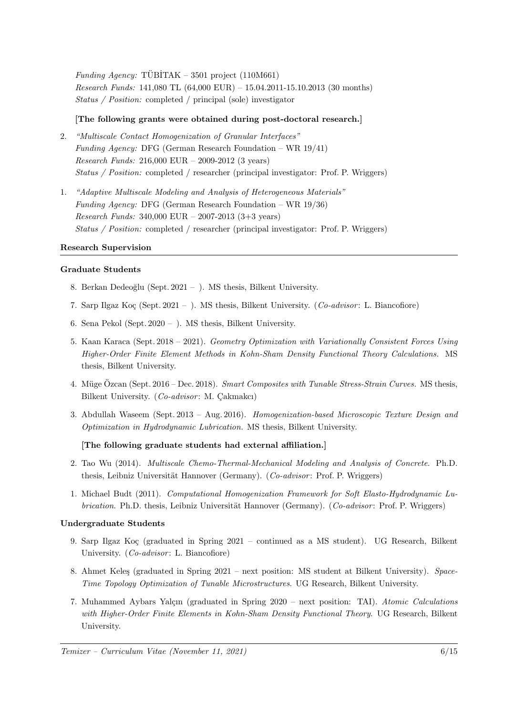Funding Agency: TÜBİTAK – 3501 project  $(110M661)$ Research Funds: 141,080 TL (64,000 EUR) – 15.04.2011-15.10.2013 (30 months) Status / Position: completed / principal (sole) investigator

#### [The following grants were obtained during post-doctoral research.]

- 2. "Multiscale Contact Homogenization of Granular Interfaces" Funding Agency: DFG (German Research Foundation – WR 19/41) Research Funds: 216,000 EUR – 2009-2012 (3 years) Status / Position: completed / researcher (principal investigator: Prof. P. Wriggers)
- 1. "Adaptive Multiscale Modeling and Analysis of Heterogeneous Materials" Funding Agency: DFG (German Research Foundation – WR 19/36) Research Funds: 340,000 EUR – 2007-2013 (3+3 years) Status / Position: completed / researcher (principal investigator: Prof. P. Wriggers)

#### Research Supervision

#### Graduate Students

- 8. Berkan Dedeoğlu (Sept. 2021 ). MS thesis, Bilkent University.
- 7. Sarp Ilgaz Koç (Sept. 2021 ). MS thesis, Bilkent University. (Co-advisor: L. Biancofiore)
- 6. Sena Pekol (Sept. 2020 ). MS thesis, Bilkent University.
- 5. Kaan Karaca (Sept. 2018 2021). Geometry Optimization with Variationally Consistent Forces Using Higher-Order Finite Element Methods in Kohn-Sham Density Functional Theory Calculations. MS thesis, Bilkent University.
- 4. Müge Özcan (Sept. 2016 Dec. 2018). Smart Composites with Tunable Stress-Strain Curves. MS thesis, Bilkent University.  $(Co\text{-}advisor: M. Cakmakc1)$
- 3. Abdullah Waseem (Sept. 2013 Aug. 2016). Homogenization-based Microscopic Texture Design and Optimization in Hydrodynamic Lubrication. MS thesis, Bilkent University.

#### [The following graduate students had external affiliation.]

- 2. Tao Wu (2014). Multiscale Chemo-Thermal-Mechanical Modeling and Analysis of Concrete. Ph.D. thesis, Leibniz Universität Hannover (Germany). (Co-advisor: Prof. P. Wriggers)
- 1. Michael Budt (2011). Computational Homogenization Framework for Soft Elasto-Hydrodynamic Lubrication. Ph.D. thesis, Leibniz Universität Hannover (Germany). (Co-advisor: Prof. P. Wriggers)

#### Undergraduate Students

- 9. Sarp Ilgaz Koç (graduated in Spring 2021 continued as a MS student). UG Research, Bilkent University.  $(Co\text{-}advisor: L. Biancofore)$
- 8. Ahmet Keleş (graduated in Spring 2021 next position: MS student at Bilkent University). Space-Time Topology Optimization of Tunable Microstructures. UG Research, Bilkent University.
- 7. Muhammed Aybars Yalçın (graduated in Spring 2020 next position: TAI). Atomic Calculations with Higher-Order Finite Elements in Kohn-Sham Density Functional Theory. UG Research, Bilkent University.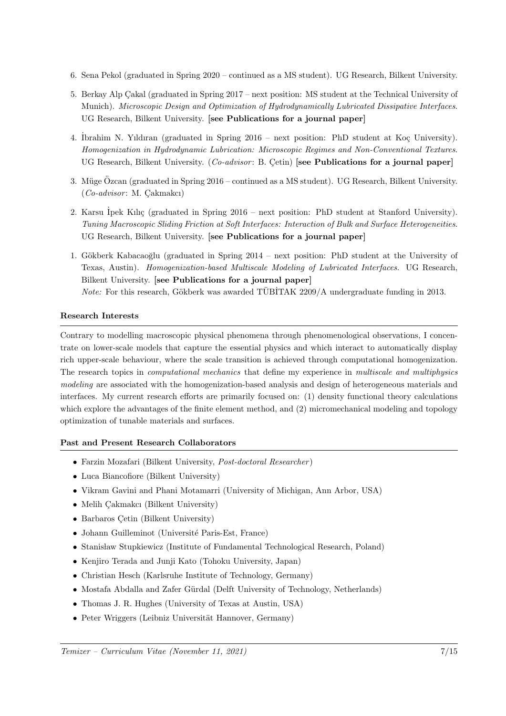- 6. Sena Pekol (graduated in Spring 2020 continued as a MS student). UG Research, Bilkent University.
- 5. Berkay Alp Cakal (graduated in Spring 2017 next position: MS student at the Technical University of Munich). Microscopic Design and Optimization of Hydrodynamically Lubricated Dissipative Interfaces. UG Research, Bilkent University. [see Publications for a journal paper]
- 4. İbrahim N. Yıldıran (graduated in Spring 2016 next position: PhD student at Koç University). Homogenization in Hydrodynamic Lubrication: Microscopic Regimes and Non-Conventional Textures. UG Research, Bilkent University. (Co-advisor: B. Çetin) [see Publications for a journal paper]
- 3. Müge Özcan (graduated in Spring  $2016$  continued as a MS student). UG Research, Bilkent University.  $(Co-advisor: M. Cakmakc1)$
- 2. Karsu İpek Kılıç (graduated in Spring 2016 next position: PhD student at Stanford University). Tuning Macroscopic Sliding Friction at Soft Interfaces: Interaction of Bulk and Surface Heterogeneities. UG Research, Bilkent University. [see Publications for a journal paper]
- 1. Gökberk Kabacaoğlu (graduated in Spring 2014 next position: PhD student at the University of Texas, Austin). Homogenization-based Multiscale Modeling of Lubricated Interfaces. UG Research, Bilkent University. [see Publications for a journal paper] Note: For this research, Gökberk was awarded TÜBİTAK 2209/A undergraduate funding in 2013.

#### Research Interests

Contrary to modelling macroscopic physical phenomena through phenomenological observations, I concentrate on lower-scale models that capture the essential physics and which interact to automatically display rich upper-scale behaviour, where the scale transition is achieved through computational homogenization. The research topics in computational mechanics that define my experience in multiscale and multiphysics modeling are associated with the homogenization-based analysis and design of heterogeneous materials and interfaces. My current research efforts are primarily focused on: (1) density functional theory calculations which explore the advantages of the finite element method, and (2) micromechanical modeling and topology optimization of tunable materials and surfaces.

#### Past and Present Research Collaborators

- Farzin Mozafari (Bilkent University, Post-doctoral Researcher )
- Luca Biancofiore (Bilkent University)
- Vikram Gavini and Phani Motamarri (University of Michigan, Ann Arbor, USA)
- Melih Çakmakcı (Bilkent University)
- $\bullet$  Barbaros Cetin (Bilkent University)
- Johann Guilleminot (Université Paris-Est, France)
- Stanisław Stupkiewicz (Institute of Fundamental Technological Research, Poland)
- Kenjiro Terada and Junji Kato (Tohoku University, Japan)
- Christian Hesch (Karlsruhe Institute of Technology, Germany)
- Mostafa Abdalla and Zafer Gürdal (Delft University of Technology, Netherlands)
- Thomas J. R. Hughes (University of Texas at Austin, USA)
- Peter Wriggers (Leibniz Universität Hannover, Germany)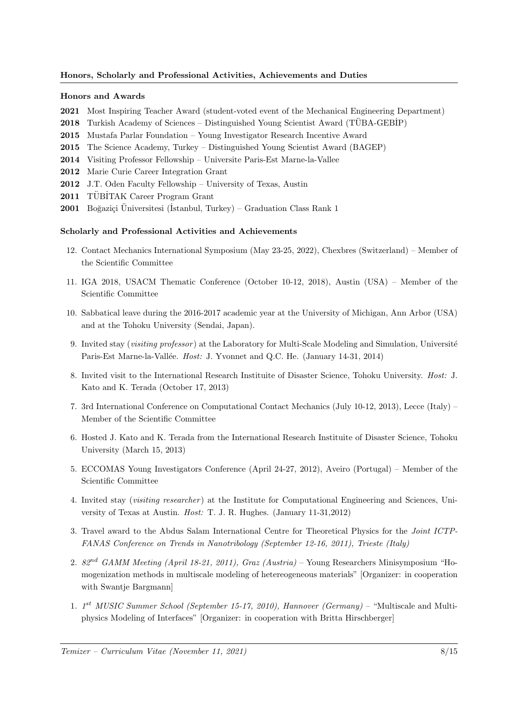#### Honors, Scholarly and Professional Activities, Achievements and Duties

#### Honors and Awards

- 2021 Most Inspiring Teacher Award (student-voted event of the Mechanical Engineering Department)
- **2018** Turkish Academy of Sciences Distinguished Young Scientist Award (TÜBA-GEBIP)
- 2015 Mustafa Parlar Foundation Young Investigator Research Incentive Award
- 2015 The Science Academy, Turkey Distinguished Young Scientist Award (BAGEP)
- 2014 Visiting Professor Fellowship Universite Paris-Est Marne-la-Vallee
- 2012 Marie Curie Career Integration Grant
- 2012 J.T. Oden Faculty Fellowship University of Texas, Austin
- 2011 TÜBİTAK Career Program Grant
- **2001** Boğaziçi Üniversitesi (İstanbul, Turkey) Graduation Class Rank 1

#### Scholarly and Professional Activities and Achievements

- 12. Contact Mechanics International Symposium (May 23-25, 2022), Chexbres (Switzerland) Member of the Scientific Committee
- 11. IGA 2018, USACM Thematic Conference (October 10-12, 2018), Austin (USA) Member of the Scientific Committee
- 10. Sabbatical leave during the 2016-2017 academic year at the University of Michigan, Ann Arbor (USA) and at the Tohoku University (Sendai, Japan).
- 9. Invited stay (*visiting professor*) at the Laboratory for Multi-Scale Modeling and Simulation, Université Paris-Est Marne-la-Vallée. Host: J. Yvonnet and Q.C. He. (January 14-31, 2014)
- 8. Invited visit to the International Research Instituite of Disaster Science, Tohoku University. Host: J. Kato and K. Terada (October 17, 2013)
- 7. 3rd International Conference on Computational Contact Mechanics (July 10-12, 2013), Lecce (Italy) Member of the Scientific Committee
- 6. Hosted J. Kato and K. Terada from the International Research Instituite of Disaster Science, Tohoku University (March 15, 2013)
- 5. ECCOMAS Young Investigators Conference (April 24-27, 2012), Aveiro (Portugal) Member of the Scientific Committee
- 4. Invited stay (*visiting researcher*) at the Institute for Computational Engineering and Sciences, University of Texas at Austin. Host: T. J. R. Hughes. (January 11-31,2012)
- 3. Travel award to the Abdus Salam International Centre for Theoretical Physics for the Joint ICTP-FANAS Conference on Trends in Nanotribology (September 12-16, 2011), Trieste (Italy)
- 2. 82nd GAMM Meeting (April 18-21, 2011), Graz (Austria) Young Researchers Minisymposium "Homogenization methods in multiscale modeling of hetereogeneous materials" [Organizer: in cooperation with Swantje Bargmann]
- 1. 1<sup>st</sup> MUSIC Summer School (September 15-17, 2010), Hannover (Germany) "Multiscale and Multiphysics Modeling of Interfaces" [Organizer: in cooperation with Britta Hirschberger]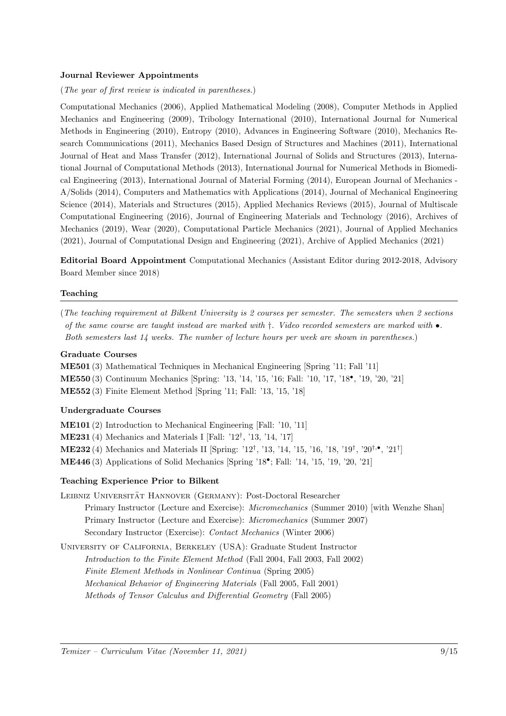#### Journal Reviewer Appointments

(The year of first review is indicated in parentheses.)

Computational Mechanics (2006), Applied Mathematical Modeling (2008), Computer Methods in Applied Mechanics and Engineering (2009), Tribology International (2010), International Journal for Numerical Methods in Engineering (2010), Entropy (2010), Advances in Engineering Software (2010), Mechanics Research Communications (2011), Mechanics Based Design of Structures and Machines (2011), International Journal of Heat and Mass Transfer (2012), International Journal of Solids and Structures (2013), International Journal of Computational Methods (2013), International Journal for Numerical Methods in Biomedical Engineering (2013), International Journal of Material Forming (2014), European Journal of Mechanics - A/Solids (2014), Computers and Mathematics with Applications (2014), Journal of Mechanical Engineering Science (2014), Materials and Structures (2015), Applied Mechanics Reviews (2015), Journal of Multiscale Computational Engineering (2016), Journal of Engineering Materials and Technology (2016), Archives of Mechanics (2019), Wear (2020), Computational Particle Mechanics (2021), Journal of Applied Mechanics (2021), Journal of Computational Design and Engineering (2021), Archive of Applied Mechanics (2021)

Editorial Board Appointment Computational Mechanics (Assistant Editor during 2012-2018, Advisory Board Member since 2018)

#### Teaching

(The teaching requirement at Bilkent University is 2 courses per semester. The semesters when 2 sections of the same course are taught instead are marked with  $\dagger$ . Video recorded semesters are marked with  $\bullet$ . Both semesters last 14 weeks. The number of lecture hours per week are shown in parentheses.)

#### Graduate Courses

ME501 (3) Mathematical Techniques in Mechanical Engineering [Spring '11; Fall '11] ME550 (3) Continuum Mechanics [Spring: '13, '14, '15, '16; Fall: '10, '17, '18• , '19, '20, '21] ME552 (3) Finite Element Method [Spring '11; Fall: '13, '15, '18]

#### Undergraduate Courses

ME101 (2) Introduction to Mechanical Engineering [Fall: '10, '11] ME231 (4) Mechanics and Materials I [Fall: '12† , '13, '14, '17] **ME232** (4) Mechanics and Materials II [Spring: '12<sup>†</sup>, '13, '14, '15, '16, '18, '19<sup>†</sup>, '20<sup>†,•</sup>, '21<sup>†</sup>] ME446 (3) Applications of Solid Mechanics [Spring '18• ; Fall: '14, '15, '19, '20, '21]

#### Teaching Experience Prior to Bilkent

- LEIBNIZ UNIVERSITÄT HANNOVER (GERMANY): Post-Doctoral Researcher Primary Instructor (Lecture and Exercise): Micromechanics (Summer 2010) [with Wenzhe Shan] Primary Instructor (Lecture and Exercise): Micromechanics (Summer 2007) Secondary Instructor (Exercise): Contact Mechanics (Winter 2006)
- University of California, Berkeley (USA): Graduate Student Instructor Introduction to the Finite Element Method (Fall 2004, Fall 2003, Fall 2002) Finite Element Methods in Nonlinear Continua (Spring 2005) Mechanical Behavior of Engineering Materials (Fall 2005, Fall 2001) Methods of Tensor Calculus and Differential Geometry (Fall 2005)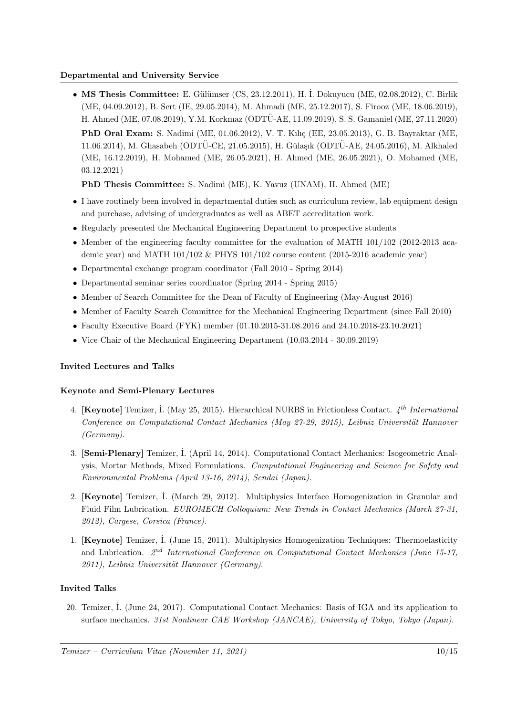#### Departmental and University Service

• MS Thesis Committee: E. Gülümser (CS, 23.12.2011), H. İ. Dokuyucu (ME, 02.08.2012), C. Birlik (ME, 04.09.2012), B. Sert (IE, 29.05.2014), M. Ahmadi (ME, 25.12.2017), S. Firooz (ME, 18.06.2019), H. Ahmed (ME, 07.08.2019), Y.M. Korkmaz (ODTÜ-AE, 11.09.2019), S. S. Gamaniel (ME, 27.11.2020) PhD Oral Exam: S. Nadimi (ME, 01.06.2012), V. T. Kılıç (EE, 23.05.2013), G. B. Bayraktar (ME, 11.06.2014), M. Ghasabeh (ODTÜ-CE, 21.05.2015), H. Gülasık (ODTÜ-AE, 24.05.2016), M. Alkhaled (ME, 16.12.2019), H. Mohamed (ME, 26.05.2021), H. Ahmed (ME, 26.05.2021), O. Mohamed (ME, 03.12.2021)

PhD Thesis Committee: S. Nadimi (ME), K. Yavuz (UNAM), H. Ahmed (ME)

- I have routinely been involved in departmental duties such as curriculum review, lab equipment design and purchase, advising of undergraduates as well as ABET accreditation work.
- Regularly presented the Mechanical Engineering Department to prospective students
- Member of the engineering faculty committee for the evaluation of MATH 101/102 (2012-2013 academic year) and MATH 101/102 & PHYS 101/102 course content (2015-2016 academic year)
- Departmental exchange program coordinator (Fall 2010 Spring 2014)
- Departmental seminar series coordinator (Spring 2014 Spring 2015)
- Member of Search Committee for the Dean of Faculty of Engineering (May-August 2016)
- Member of Faculty Search Committee for the Mechanical Engineering Department (since Fall 2010)
- Faculty Executive Board (FYK) member (01.10.2015-31.08.2016 and 24.10.2018-23.10.2021)
- Vice Chair of the Mechanical Engineering Department (10.03.2014 30.09.2019)

#### Invited Lectures and Talks

#### Keynote and Semi-Plenary Lectures

- 4. [Keynote] Temizer, I. (May 25, 2015). Hierarchical NURBS in Frictionless Contact.  $4^{th}$  International Conference on Computational Contact Mechanics (May 27-29, 2015), Leibniz Universität Hannover (Germany).
- 3. [Semi-Plenary] Temizer, ˙I. (April 14, 2014). Computational Contact Mechanics: Isogeometric Analysis, Mortar Methods, Mixed Formulations. Computational Engineering and Science for Safety and Environmental Problems (April 13-16, 2014), Sendai (Japan).
- 2. [Keynote] Temizer, ˙I. (March 29, 2012). Multiphysics Interface Homogenization in Granular and Fluid Film Lubrication. EUROMECH Colloquium: New Trends in Contact Mechanics (March 27-31, 2012), Cargese, Corsica (France).
- 1. [Keynote] Temizer, İ. (June 15, 2011). Multiphysics Homogenization Techniques: Thermoelasticity and Lubrication.  $2^{nd}$  International Conference on Computational Contact Mechanics (June 15-17, 2011), Leibniz Universität Hannover (Germany).

#### Invited Talks

20. Temizer, ˙I. (June 24, 2017). Computational Contact Mechanics: Basis of IGA and its application to surface mechanics. 31st Nonlinear CAE Workshop (JANCAE), University of Tokyo, Tokyo (Japan).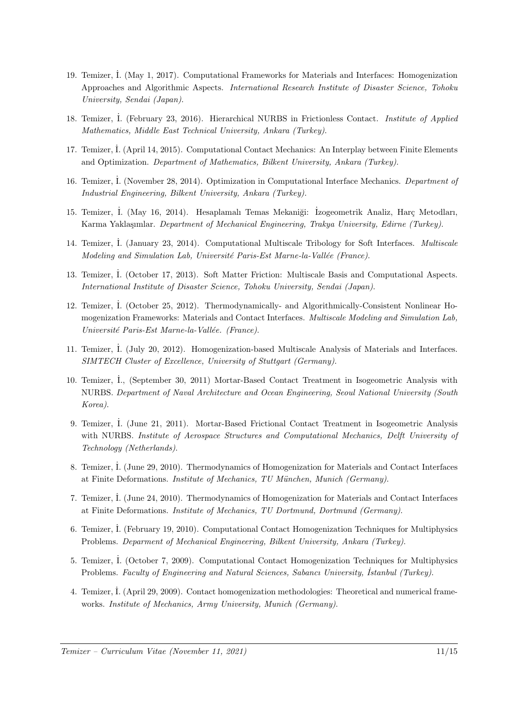- 19. Temizer, ˙I. (May 1, 2017). Computational Frameworks for Materials and Interfaces: Homogenization Approaches and Algorithmic Aspects. International Research Institute of Disaster Science, Tohoku University, Sendai (Japan).
- 18. Temizer, ˙I. (February 23, 2016). Hierarchical NURBS in Frictionless Contact. Institute of Applied Mathematics, Middle East Technical University, Ankara (Turkey).
- 17. Temizer, ˙I. (April 14, 2015). Computational Contact Mechanics: An Interplay between Finite Elements and Optimization. Department of Mathematics, Bilkent University, Ankara (Turkey).
- 16. Temizer, İ. (November 28, 2014). Optimization in Computational Interface Mechanics. Department of Industrial Engineering, Bilkent University, Ankara (Turkey).
- 15. Temizer, İ. (May 16, 2014). Hesaplamalı Temas Mekaniği: İzogeometrik Analiz, Harç Metodları, Karma Yaklaşımlar. Department of Mechanical Engineering, Trakya University, Edirne (Turkey).
- 14. Temizer, ˙I. (January 23, 2014). Computational Multiscale Tribology for Soft Interfaces. Multiscale Modeling and Simulation Lab, Université Paris-Est Marne-la-Vallée (France).
- 13. Temizer, ˙I. (October 17, 2013). Soft Matter Friction: Multiscale Basis and Computational Aspects. International Institute of Disaster Science, Tohoku University, Sendai (Japan).
- 12. Temizer, ˙I. (October 25, 2012). Thermodynamically- and Algorithmically-Consistent Nonlinear Homogenization Frameworks: Materials and Contact Interfaces. Multiscale Modeling and Simulation Lab, Université Paris-Est Marne-la-Vallée. (France).
- 11. Temizer, ˙I. (July 20, 2012). Homogenization-based Multiscale Analysis of Materials and Interfaces. SIMTECH Cluster of Excellence, University of Stuttgart (Germany).
- 10. Temizer, ˙I., (September 30, 2011) Mortar-Based Contact Treatment in Isogeometric Analysis with NURBS. Department of Naval Architecture and Ocean Engineering, Seoul National University (South Korea).
- 9. Temizer, ˙I. (June 21, 2011). Mortar-Based Frictional Contact Treatment in Isogeometric Analysis with NURBS. Institute of Aerospace Structures and Computational Mechanics, Delft University of Technology (Netherlands).
- 8. Temizer, I. (June 29, 2010). Thermodynamics of Homogenization for Materials and Contact Interfaces at Finite Deformations. Institute of Mechanics, TU München, Munich (Germany).
- 7. Temizer, ˙I. (June 24, 2010). Thermodynamics of Homogenization for Materials and Contact Interfaces at Finite Deformations. Institute of Mechanics, TU Dortmund, Dortmund (Germany).
- 6. Temizer, ˙I. (February 19, 2010). Computational Contact Homogenization Techniques for Multiphysics Problems. Deparment of Mechanical Engineering, Bilkent University, Ankara (Turkey).
- 5. Temizer, ˙I. (October 7, 2009). Computational Contact Homogenization Techniques for Multiphysics Problems. Faculty of Engineering and Natural Sciences, Sabancı University, İstanbul (Turkey).
- 4. Temizer, ˙I. (April 29, 2009). Contact homogenization methodologies: Theoretical and numerical frameworks. Institute of Mechanics, Army University, Munich (Germany).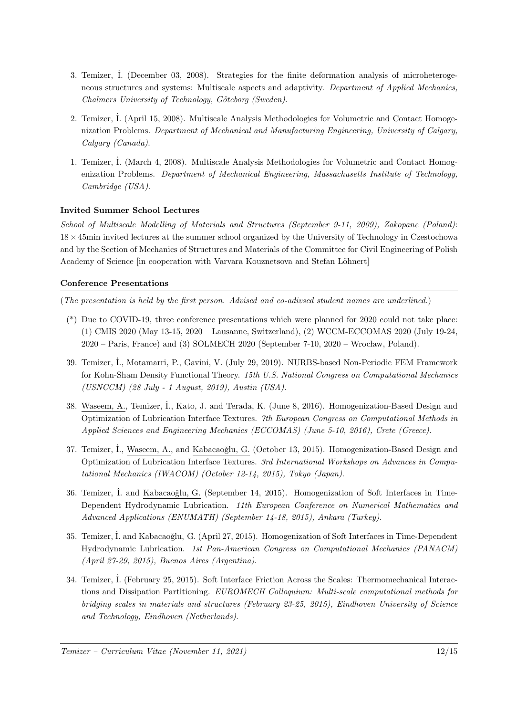- 3. Temizer, ˙I. (December 03, 2008). Strategies for the finite deformation analysis of microheterogeneous structures and systems: Multiscale aspects and adaptivity. Department of Applied Mechanics, Chalmers University of Technology, Göteborg (Sweden).
- 2. Temizer, ˙I. (April 15, 2008). Multiscale Analysis Methodologies for Volumetric and Contact Homogenization Problems. Department of Mechanical and Manufacturing Engineering, University of Calgary, Calgary (Canada).
- 1. Temizer, I. (March 4, 2008). Multiscale Analysis Methodologies for Volumetric and Contact Homogenization Problems. Department of Mechanical Engineering, Massachusetts Institute of Technology, Cambridge (USA).

#### Invited Summer School Lectures

School of Multiscale Modelling of Materials and Structures (September 9-11, 2009), Zakopane (Poland): 18 × 45min invited lectures at the summer school organized by the University of Technology in Czestochowa and by the Section of Mechanics of Structures and Materials of the Committee for Civil Engineering of Polish Academy of Science [in cooperation with Varvara Kouznetsova and Stefan Löhnert]

#### Conference Presentations

(The presentation is held by the first person. Advised and co-adivsed student names are underlined.)

- (\*) Due to COVID-19, three conference presentations which were planned for 2020 could not take place: (1) CMIS 2020 (May 13-15, 2020 – Lausanne, Switzerland), (2) WCCM-ECCOMAS 2020 (July 19-24,  $2020$  – Paris, France) and (3) SOLMECH 2020 (September 7-10,  $2020$  – Wrocław, Poland).
- 39. Temizer, ˙I., Motamarri, P., Gavini, V. (July 29, 2019). NURBS-based Non-Periodic FEM Framework for Kohn-Sham Density Functional Theory. 15th U.S. National Congress on Computational Mechanics (USNCCM) (28 July - 1 August, 2019), Austin (USA).
- 38. Waseem, A., Temizer, ˙I., Kato, J. and Terada, K. (June 8, 2016). Homogenization-Based Design and Optimization of Lubrication Interface Textures. 7th European Congress on Computational Methods in Applied Sciences and Engineering Mechanics (ECCOMAS) (June 5-10, 2016), Crete (Greece).
- 37. Temizer, I., Waseem, A., and Kabacaoğlu, G. (October 13, 2015). Homogenization-Based Design and Optimization of Lubrication Interface Textures. 3rd International Workshops on Advances in Computational Mechanics (IWACOM) (October 12-14, 2015), Tokyo (Japan).
- 36. Temizer, I. and Kabacaoğlu, G. (September 14, 2015). Homogenization of Soft Interfaces in Time-Dependent Hydrodynamic Lubrication. 11th European Conference on Numerical Mathematics and Advanced Applications (ENUMATH) (September 14-18, 2015), Ankara (Turkey).
- 35. Temizer, I. and Kabacaoğlu, G. (April 27, 2015). Homogenization of Soft Interfaces in Time-Dependent Hydrodynamic Lubrication. 1st Pan-American Congress on Computational Mechanics (PANACM) (April 27-29, 2015), Buenos Aires (Argentina).
- 34. Temizer, İ. (February 25, 2015). Soft Interface Friction Across the Scales: Thermomechanical Interactions and Dissipation Partitioning. EUROMECH Colloquium: Multi-scale computational methods for bridging scales in materials and structures (February 23-25, 2015), Eindhoven University of Science and Technology, Eindhoven (Netherlands).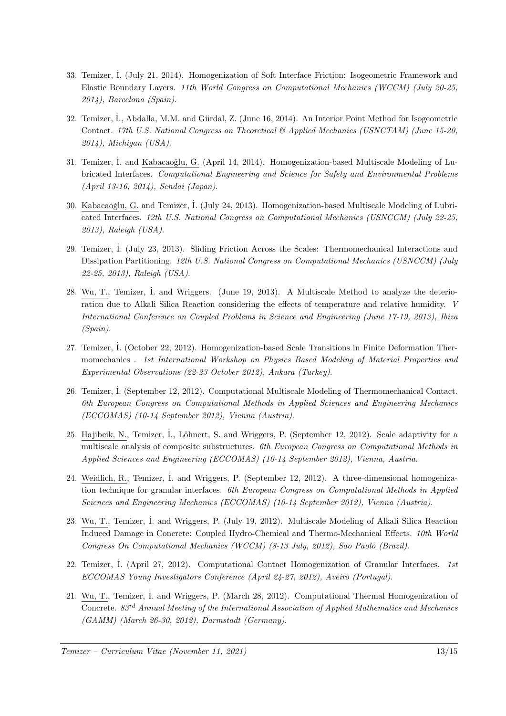- 33. Temizer, ˙I. (July 21, 2014). Homogenization of Soft Interface Friction: Isogeometric Framework and Elastic Boundary Layers. 11th World Congress on Computational Mechanics (WCCM) (July 20-25, 2014), Barcelona (Spain).
- 32. Temizer, İ., Abdalla, M.M. and Gürdal, Z. (June 16, 2014). An Interior Point Method for Isogeometric Contact. 17th U.S. National Congress on Theoretical & Applied Mechanics (USNCTAM) (June 15-20, 2014), Michigan (USA).
- 31. Temizer, İ. and Kabacaoğlu, G. (April 14, 2014). Homogenization-based Multiscale Modeling of Lubricated Interfaces. Computational Engineering and Science for Safety and Environmental Problems (April 13-16, 2014), Sendai (Japan).
- 30. Kabacaoğlu, G. and Temizer, İ. (July 24, 2013). Homogenization-based Multiscale Modeling of Lubricated Interfaces. 12th U.S. National Congress on Computational Mechanics (USNCCM) (July 22-25, 2013), Raleigh (USA).
- 29. Temizer, ˙I. (July 23, 2013). Sliding Friction Across the Scales: Thermomechanical Interactions and Dissipation Partitioning. 12th U.S. National Congress on Computational Mechanics (USNCCM) (July 22-25, 2013), Raleigh (USA).
- 28. Wu, T., Temizer, İ. and Wriggers. (June 19, 2013). A Multiscale Method to analyze the deterioration due to Alkali Silica Reaction considering the effects of temperature and relative humidity. V International Conference on Coupled Problems in Science and Engineering (June 17-19, 2013), Ibiza (Spain).
- 27. Temizer, İ. (October 22, 2012). Homogenization-based Scale Transitions in Finite Deformation Thermomechanics . 1st International Workshop on Physics Based Modeling of Material Properties and Experimental Observations (22-23 October 2012), Ankara (Turkey).
- 26. Temizer, ˙I. (September 12, 2012). Computational Multiscale Modeling of Thermomechanical Contact. 6th European Congress on Computational Methods in Applied Sciences and Engineering Mechanics (ECCOMAS) (10-14 September 2012), Vienna (Austria).
- 25. Hajibeik, N., Temizer, İ., Löhnert, S. and Wriggers, P. (September 12, 2012). Scale adaptivity for a multiscale analysis of composite substructures. 6th European Congress on Computational Methods in Applied Sciences and Engineering (ECCOMAS) (10-14 September 2012), Vienna, Austria.
- 24. Weidlich, R., Temizer, I. and Wriggers, P. (September 12, 2012). A three-dimensional homogenization technique for granular interfaces. 6th European Congress on Computational Methods in Applied Sciences and Engineering Mechanics (ECCOMAS) (10-14 September 2012), Vienna (Austria).
- 23. Wu, T., Temizer, ˙I. and Wriggers, P. (July 19, 2012). Multiscale Modeling of Alkali Silica Reaction Induced Damage in Concrete: Coupled Hydro-Chemical and Thermo-Mechanical Effects. 10th World Congress On Computational Mechanics (WCCM) (8-13 July, 2012), Sao Paolo (Brazil).
- 22. Temizer, I. (April 27, 2012). Computational Contact Homogenization of Granular Interfaces. 1st ECCOMAS Young Investigators Conference (April 24-27, 2012), Aveiro (Portugal).
- 21. Wu, T., Temizer, ˙I. and Wriggers, P. (March 28, 2012). Computational Thermal Homogenization of Concrete.  $83<sup>rd</sup>$  Annual Meeting of the International Association of Applied Mathematics and Mechanics (GAMM) (March 26-30, 2012), Darmstadt (Germany).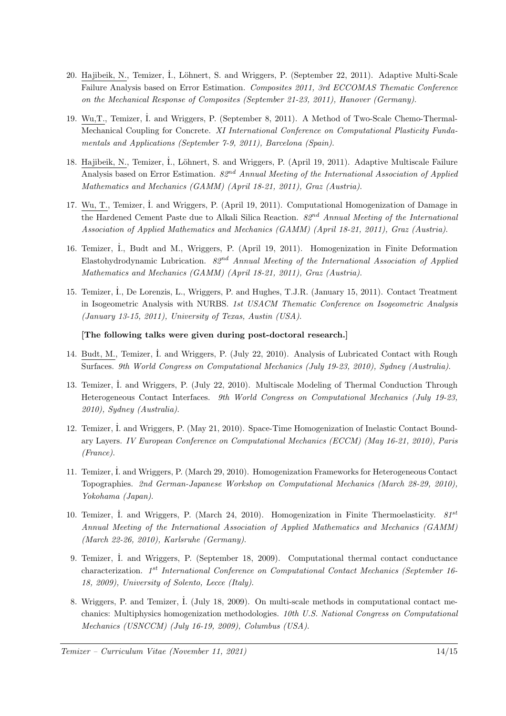- 20. Hajibeik, N., Temizer, ˙I., L¨ohnert, S. and Wriggers, P. (September 22, 2011). Adaptive Multi-Scale Failure Analysis based on Error Estimation. Composites 2011, 3rd ECCOMAS Thematic Conference on the Mechanical Response of Composites (September 21-23, 2011), Hanover (Germany).
- 19. Wu,T., Temizer, ˙I. and Wriggers, P. (September 8, 2011). A Method of Two-Scale Chemo-Thermal-Mechanical Coupling for Concrete. XI International Conference on Computational Plasticity Fundamentals and Applications (September 7-9, 2011), Barcelona (Spain).
- 18. Hajibeik, N., Temizer, İ., Löhnert, S. and Wriggers, P. (April 19, 2011). Adaptive Multiscale Failure Analysis based on Error Estimation.  $82^{nd}$  Annual Meeting of the International Association of Applied Mathematics and Mechanics (GAMM) (April 18-21, 2011), Graz (Austria).
- 17. Wu, T., Temizer, ˙I. and Wriggers, P. (April 19, 2011). Computational Homogenization of Damage in the Hardened Cement Paste due to Alkali Silica Reaction.  $82^{nd}$  Annual Meeting of the International Association of Applied Mathematics and Mechanics (GAMM) (April 18-21, 2011), Graz (Austria).
- 16. Temizer, İ., Budt and M., Wriggers, P. (April 19, 2011). Homogenization in Finite Deformation Elastohydrodynamic Lubrication.  $82<sup>nd</sup>$  Annual Meeting of the International Association of Applied Mathematics and Mechanics (GAMM) (April 18-21, 2011), Graz (Austria).
- 15. Temizer, ˙I., De Lorenzis, L., Wriggers, P. and Hughes, T.J.R. (January 15, 2011). Contact Treatment in Isogeometric Analysis with NURBS. 1st USACM Thematic Conference on Isogeometric Analysis (January 13-15, 2011), University of Texas, Austin (USA).

[The following talks were given during post-doctoral research.]

- 14. Budt, M., Temizer, ˙I. and Wriggers, P. (July 22, 2010). Analysis of Lubricated Contact with Rough Surfaces. 9th World Congress on Computational Mechanics (July 19-23, 2010), Sydney (Australia).
- 13. Temizer, İ. and Wriggers, P. (July 22, 2010). Multiscale Modeling of Thermal Conduction Through Heterogeneous Contact Interfaces. 9th World Congress on Computational Mechanics (July 19-23, 2010), Sydney (Australia).
- 12. Temizer, ˙I. and Wriggers, P. (May 21, 2010). Space-Time Homogenization of Inelastic Contact Boundary Layers. IV European Conference on Computational Mechanics (ECCM) (May 16-21, 2010), Paris (France).
- 11. Temizer, ˙I. and Wriggers, P. (March 29, 2010). Homogenization Frameworks for Heterogeneous Contact Topographies. 2nd German-Japanese Workshop on Computational Mechanics (March 28-29, 2010), Yokohama (Japan).
- 10. Temizer, İ. and Wriggers, P. (March 24, 2010). Homogenization in Finite Thermoelasticity.  $81^{st}$ Annual Meeting of the International Association of Applied Mathematics and Mechanics (GAMM) (March 22-26, 2010), Karlsruhe (Germany).
- 9. Temizer, ˙I. and Wriggers, P. (September 18, 2009). Computational thermal contact conductance characterization. 1<sup>st</sup> International Conference on Computational Contact Mechanics (September 16-18, 2009), University of Solento, Lecce (Italy).
- 8. Wriggers, P. and Temizer, ˙I. (July 18, 2009). On multi-scale methods in computational contact mechanics: Multiphysics homogenization methodologies. 10th U.S. National Congress on Computational Mechanics (USNCCM) (July 16-19, 2009), Columbus (USA).